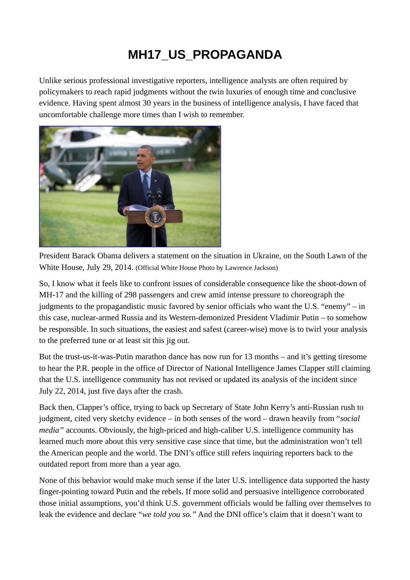## **MH17\_US\_PROPAGANDA**

Unlike serious professional investigative reporters, intelligence analysts are often required by policymakers to reach rapid judgments without the twin luxuries of enough time and conclusive evidence. Having spent almost 30 years in the business of intelligence analysis, I have faced that uncomfortable challenge more times than I wish to remember.



President Barack Obama delivers a statement on the situation in Ukraine, on the South Lawn of the White House, July 29, 2014. (Official White House Photo by Lawrence Jackson)

So, I know what it feels like to confront issues of considerable consequence like the shoot-down of MH-17 and the killing of 298 passengers and crew amid intense pressure to choreograph the judgments to the propagandistic music favored by senior officials who want the U.S. "enemy" – in this case, nuclear-armed Russia and its Western-demonized President Vladimir Putin – to somehow be responsible. In such situations, the easiest and safest (career-wise) move is to twirl your analysis to the preferred tune or at least sit this jig out.

But the trust-us-it-was-Putin marathon dance has now run for 13 months – and it's getting tiresome to hear the P.R. people in the office of Director of National Intelligence James Clapper still claiming that the U.S. intelligence community has not revised or updated its analysis of the incident since July 22, 2014, just five days after the crash.

Back then, Clapper's office, trying to back up Secretary of State John Kerry's anti-Russian rush to judgment, cited very sketchy evidence – in both senses of the word – drawn heavily from "*social media"* accounts. Obviously, the high-priced and high-caliber U.S. intelligence community has learned much more about this very sensitive case since that time, but the administration won't tell the American people and the world. The DNI's office still refers inquiring reporters back to the outdated report from more than a year ago.

None of this behavior would make much sense if the later U.S. intelligence data supported the hasty finger-pointing toward Putin and the rebels. If more solid and persuasive intelligence corroborated those initial assumptions, you'd think U.S. government officials would be falling over themselves to leak the evidence and declare "*we told you so."* And the DNI office's claim that it doesn't want to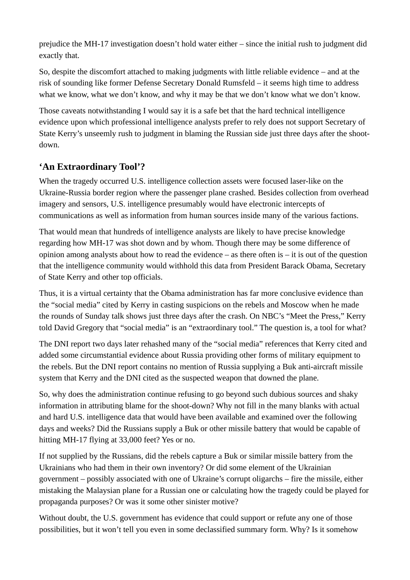prejudice the MH-17 investigation doesn't hold water either – since the initial rush to judgment did exactly that.

So, despite the discomfort attached to making judgments with little reliable evidence – and at the risk of sounding like former Defense Secretary Donald Rumsfeld – it seems high time to address what we know, what we don't know, and why it may be that we don't know what we don't know.

Those caveats notwithstanding I would say it is a safe bet that the hard technical intelligence evidence upon which professional intelligence analysts prefer to rely does not support Secretary of State Kerry's unseemly rush to judgment in blaming the Russian side just three days after the shootdown.

## **'An Extraordinary Tool'?**

When the tragedy occurred U.S. intelligence collection assets were focused laser-like on the Ukraine-Russia border region where the passenger plane crashed. Besides collection from overhead imagery and sensors, U.S. intelligence presumably would have electronic intercepts of communications as well as information from human sources inside many of the various factions.

That would mean that hundreds of intelligence analysts are likely to have precise knowledge regarding how MH-17 was shot down and by whom. Though there may be some difference of opinion among analysts about how to read the evidence  $-$  as there often is  $-$  it is out of the question that the intelligence community would withhold this data from President Barack Obama, Secretary of State Kerry and other top officials.

Thus, it is a virtual certainty that the Obama administration has far more conclusive evidence than the "social media" cited by Kerry in casting suspicions on the rebels and Moscow when he made the rounds of Sunday talk shows just three days after the crash. On NBC's "Meet the Press," Kerry told David Gregory that "social media" is an "extraordinary tool." The question is, a tool for what?

The DNI report two days later rehashed many of the "social media" references that Kerry cited and added some circumstantial evidence about Russia providing other forms of military equipment to the rebels. But the DNI report contains no mention of Russia supplying a Buk anti-aircraft missile system that Kerry and the DNI cited as the suspected weapon that downed the plane.

So, why does the administration continue refusing to go beyond such dubious sources and shaky information in attributing blame for the shoot-down? Why not fill in the many blanks with actual and hard U.S. intelligence data that would have been available and examined over the following days and weeks? Did the Russians supply a Buk or other missile battery that would be capable of hitting MH-17 flying at 33,000 feet? Yes or no.

If not supplied by the Russians, did the rebels capture a Buk or similar missile battery from the Ukrainians who had them in their own inventory? Or did some element of the Ukrainian government – possibly associated with one of Ukraine's corrupt oligarchs – fire the missile, either mistaking the Malaysian plane for a Russian one or calculating how the tragedy could be played for propaganda purposes? Or was it some other sinister motive?

Without doubt, the U.S. government has evidence that could support or refute any one of those possibilities, but it won't tell you even in some declassified summary form. Why? Is it somehow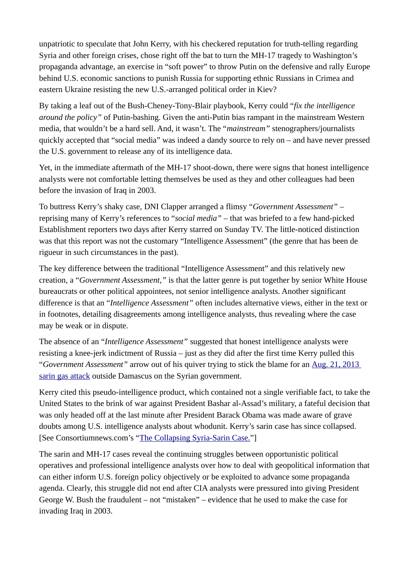unpatriotic to speculate that John Kerry, with his checkered reputation for truth-telling regarding Syria and other foreign crises, chose right off the bat to turn the MH-17 tragedy to Washington's propaganda advantage, an exercise in "soft power" to throw Putin on the defensive and rally Europe behind U.S. economic sanctions to punish Russia for supporting ethnic Russians in Crimea and eastern Ukraine resisting the new U.S.-arranged political order in Kiev?

By taking a leaf out of the Bush-Cheney-Tony-Blair playbook, Kerry could "*fix the intelligence around the policy"* of Putin-bashing. Given the anti-Putin bias rampant in the mainstream Western media, that wouldn't be a hard sell. And, it wasn't. The "*mainstream"* stenographers/journalists quickly accepted that "social media" was indeed a dandy source to rely on – and have never pressed the U.S. government to release any of its intelligence data.

Yet, in the immediate aftermath of the MH-17 shoot-down, there were signs that honest intelligence analysts were not comfortable letting themselves be used as they and other colleagues had been before the invasion of Iraq in 2003.

To buttress Kerry's shaky case, DNI Clapper arranged a flimsy "*Government Assessment"* – reprising many of Kerry's references to "*social media"* – that was briefed to a few hand-picked Establishment reporters two days after Kerry starred on Sunday TV. The little-noticed distinction was that this report was not the customary "Intelligence Assessment" (the genre that has been de rigueur in such circumstances in the past).

The key difference between the traditional "Intelligence Assessment" and this relatively new creation, a "*Government Assessment,"* is that the latter genre is put together by senior White House bureaucrats or other political appointees, not senior intelligence analysts. Another significant difference is that an "*Intelligence Assessment"* often includes alternative views, either in the text or in footnotes, detailing disagreements among intelligence analysts, thus revealing where the case may be weak or in dispute.

The absence of an "*Intelligence Assessment"* suggested that honest intelligence analysts were resisting a knee-jerk indictment of Russia – just as they did after the first time Kerry pulled this "*Government Assessment"* arrow out of his quiver trying to stick the blame for an [Aug. 21, 2013](https://wikispooks.com/wiki/Syrian_Chemical_Weapons_Attack)  [sarin gas attack](https://wikispooks.com/wiki/Syrian_Chemical_Weapons_Attack) outside Damascus on the Syrian government.

Kerry cited this pseudo-intelligence product, which contained not a single verifiable fact, to take the United States to the brink of war against President Bashar al-Assad's military, a fateful decision that was only headed off at the last minute after President Barack Obama was made aware of grave doubts among U.S. intelligence analysts about whodunit. Kerry's sarin case has since collapsed. [See Consortiumnews.com's ["The Collapsing Syria-Sarin Case."](https://consortiumnews.com/2014/04/07/the-collapsing-syria-sarin-case/)]

The sarin and MH-17 cases reveal the continuing struggles between opportunistic political operatives and professional intelligence analysts over how to deal with geopolitical information that can either inform U.S. foreign policy objectively or be exploited to advance some propaganda agenda. Clearly, this struggle did not end after CIA analysts were pressured into giving President George W. Bush the fraudulent – not "mistaken" – evidence that he used to make the case for invading Iraq in 2003.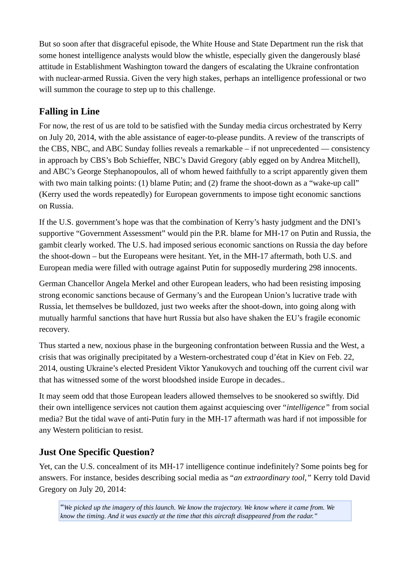But so soon after that disgraceful episode, the White House and State Department run the risk that some honest intelligence analysts would blow the whistle, especially given the dangerously blasé attitude in Establishment Washington toward the dangers of escalating the Ukraine confrontation with nuclear-armed Russia. Given the very high stakes, perhaps an intelligence professional or two will summon the courage to step up to this challenge.

## **Falling in Line**

For now, the rest of us are told to be satisfied with the Sunday media circus orchestrated by Kerry on July 20, 2014, with the able assistance of eager-to-please pundits. A review of the transcripts of the CBS, NBC, and ABC Sunday follies reveals a remarkable – if not unprecedented — consistency in approach by CBS's Bob Schieffer, NBC's David Gregory (ably egged on by Andrea Mitchell), and ABC's George Stephanopoulos, all of whom hewed faithfully to a script apparently given them with two main talking points: (1) blame Putin; and (2) frame the shoot-down as a "wake-up call" (Kerry used the words repeatedly) for European governments to impose tight economic sanctions on Russia.

If the U.S. government's hope was that the combination of Kerry's hasty judgment and the DNI's supportive "Government Assessment" would pin the P.R. blame for MH-17 on Putin and Russia, the gambit clearly worked. The U.S. had imposed serious economic sanctions on Russia the day before the shoot-down – but the Europeans were hesitant. Yet, in the MH-17 aftermath, both U.S. and European media were filled with outrage against Putin for supposedly murdering 298 innocents.

German Chancellor Angela Merkel and other European leaders, who had been resisting imposing strong economic sanctions because of Germany's and the European Union's lucrative trade with Russia, let themselves be bulldozed, just two weeks after the shoot-down, into going along with mutually harmful sanctions that have hurt Russia but also have shaken the EU's fragile economic recovery.

Thus started a new, noxious phase in the burgeoning confrontation between Russia and the West, a crisis that was originally precipitated by a Western-orchestrated coup d'état in Kiev on Feb. 22, 2014, ousting Ukraine's elected President Viktor Yanukovych and touching off the current civil war that has witnessed some of the worst bloodshed inside Europe in decades..

It may seem odd that those European leaders allowed themselves to be snookered so swiftly. Did their own intelligence services not caution them against acquiescing over "*intelligence"* from social media? But the tidal wave of anti-Putin fury in the MH-17 aftermath was hard if not impossible for any Western politician to resist.

## **Just One Specific Question?**

Yet, can the U.S. concealment of its MH-17 intelligence continue indefinitely? Some points beg for answers. For instance, besides describing social media as "*an extraordinary tool,"* Kerry told David Gregory on July 20, 2014: